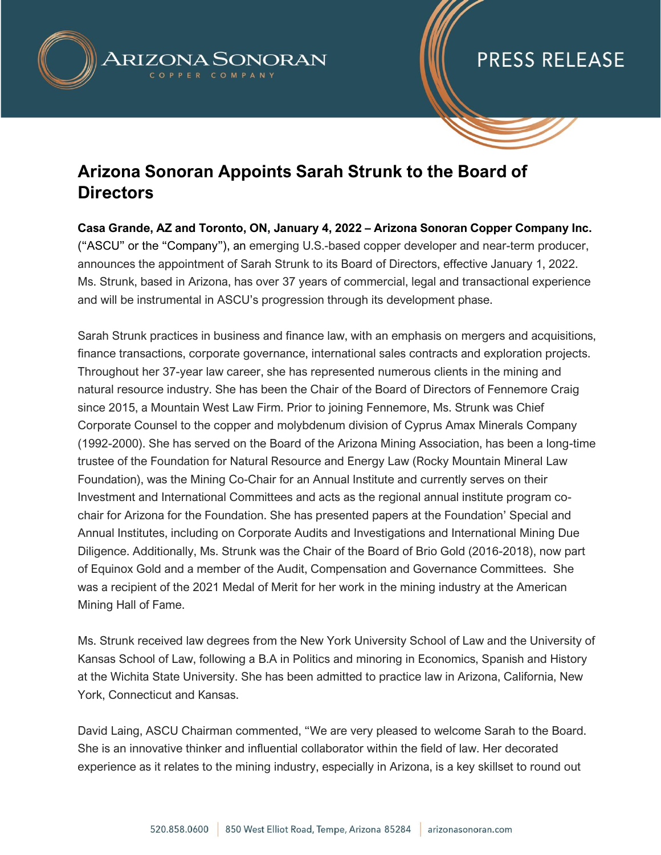

### PRESS RELEASE

### **Arizona Sonoran Appoints Sarah Strunk to the Board of Directors**

**Casa Grande, AZ and Toronto, ON, January 4, 2022 – Arizona Sonoran Copper Company Inc.**  ("ASCU" or the "Company"), an emerging U.S.-based copper developer and near-term producer, announces the appointment of Sarah Strunk to its Board of Directors, effective January 1, 2022. Ms. Strunk, based in Arizona, has over 37 years of commercial, legal and transactional experience and will be instrumental in ASCU's progression through its development phase.

Sarah Strunk practices in business and finance law, with an emphasis on mergers and acquisitions, finance transactions, corporate governance, international sales contracts and exploration projects. Throughout her 37-year law career, she has represented numerous clients in the mining and natural resource industry. She has been the Chair of the Board of Directors of Fennemore Craig since 2015, a Mountain West Law Firm. Prior to joining Fennemore, Ms. Strunk was Chief Corporate Counsel to the copper and molybdenum division of Cyprus Amax Minerals Company (1992-2000). She has served on the Board of the Arizona Mining Association, has been a long-time trustee of the Foundation for Natural Resource and Energy Law (Rocky Mountain Mineral Law Foundation), was the Mining Co-Chair for an Annual Institute and currently serves on their Investment and International Committees and acts as the regional annual institute program cochair for Arizona for the Foundation. She has presented papers at the Foundation' Special and Annual Institutes, including on Corporate Audits and Investigations and International Mining Due Diligence. Additionally, Ms. Strunk was the Chair of the Board of Brio Gold (2016-2018), now part of Equinox Gold and a member of the Audit, Compensation and Governance Committees. She was a recipient of the 2021 Medal of Merit for her work in the mining industry at the American Mining Hall of Fame.

Ms. Strunk received law degrees from the New York University School of Law and the University of Kansas School of Law, following a B.A in Politics and minoring in Economics, Spanish and History at the Wichita State University. She has been admitted to practice law in Arizona, California, New York, Connecticut and Kansas.

David Laing, ASCU Chairman commented, "We are very pleased to welcome Sarah to the Board. She is an innovative thinker and influential collaborator within the field of law. Her decorated experience as it relates to the mining industry, especially in Arizona, is a key skillset to round out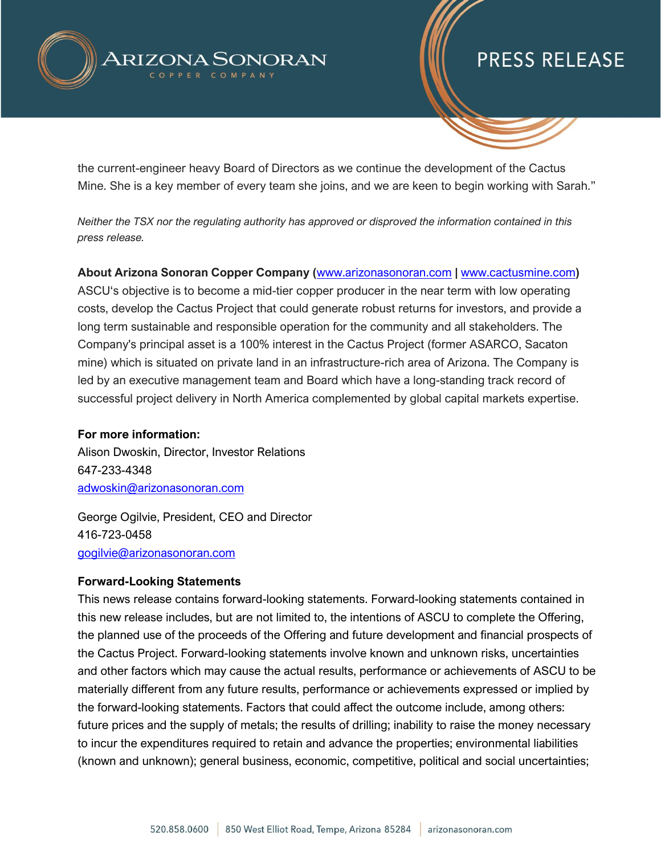

# PRESS RELEASE

the current-engineer heavy Board of Directors as we continue the development of the Cactus Mine. She is a key member of every team she joins, and we are keen to begin working with Sarah."

*Neither the TSX nor the regulating authority has approved or disproved the information contained in this press release.* 

**About Arizona Sonoran Copper Company (**[www.arizonasonoran.com](http://www.arizonasonoran.com/) **|** [www.cactusmine.com](http://www.cactusmine.com/)**)**

ASCU's objective is to become a mid-tier copper producer in the near term with low operating costs, develop the Cactus Project that could generate robust returns for investors, and provide a long term sustainable and responsible operation for the community and all stakeholders. The Company's principal asset is a 100% interest in the Cactus Project (former ASARCO, Sacaton mine) which is situated on private land in an infrastructure-rich area of Arizona. The Company is led by an executive management team and Board which have a long-standing track record of successful project delivery in North America complemented by global capital markets expertise.

#### **For more information:**

Alison Dwoskin, Director, Investor Relations 647-233-4348 [adwoskin@arizonasonoran.com](mailto:adwoskin@arizonasonoran.com)

George Ogilvie, President, CEO and Director 416-723-0458 [gogilvie@arizonasonoran.com](mailto:gogilvie@arizonasonoran.com)

### **Forward-Looking Statements**

This news release contains forward-looking statements. Forward-looking statements contained in this new release includes, but are not limited to, the intentions of ASCU to complete the Offering, the planned use of the proceeds of the Offering and future development and financial prospects of the Cactus Project. Forward-looking statements involve known and unknown risks, uncertainties and other factors which may cause the actual results, performance or achievements of ASCU to be materially different from any future results, performance or achievements expressed or implied by the forward-looking statements. Factors that could affect the outcome include, among others: future prices and the supply of metals; the results of drilling; inability to raise the money necessary to incur the expenditures required to retain and advance the properties; environmental liabilities (known and unknown); general business, economic, competitive, political and social uncertainties;